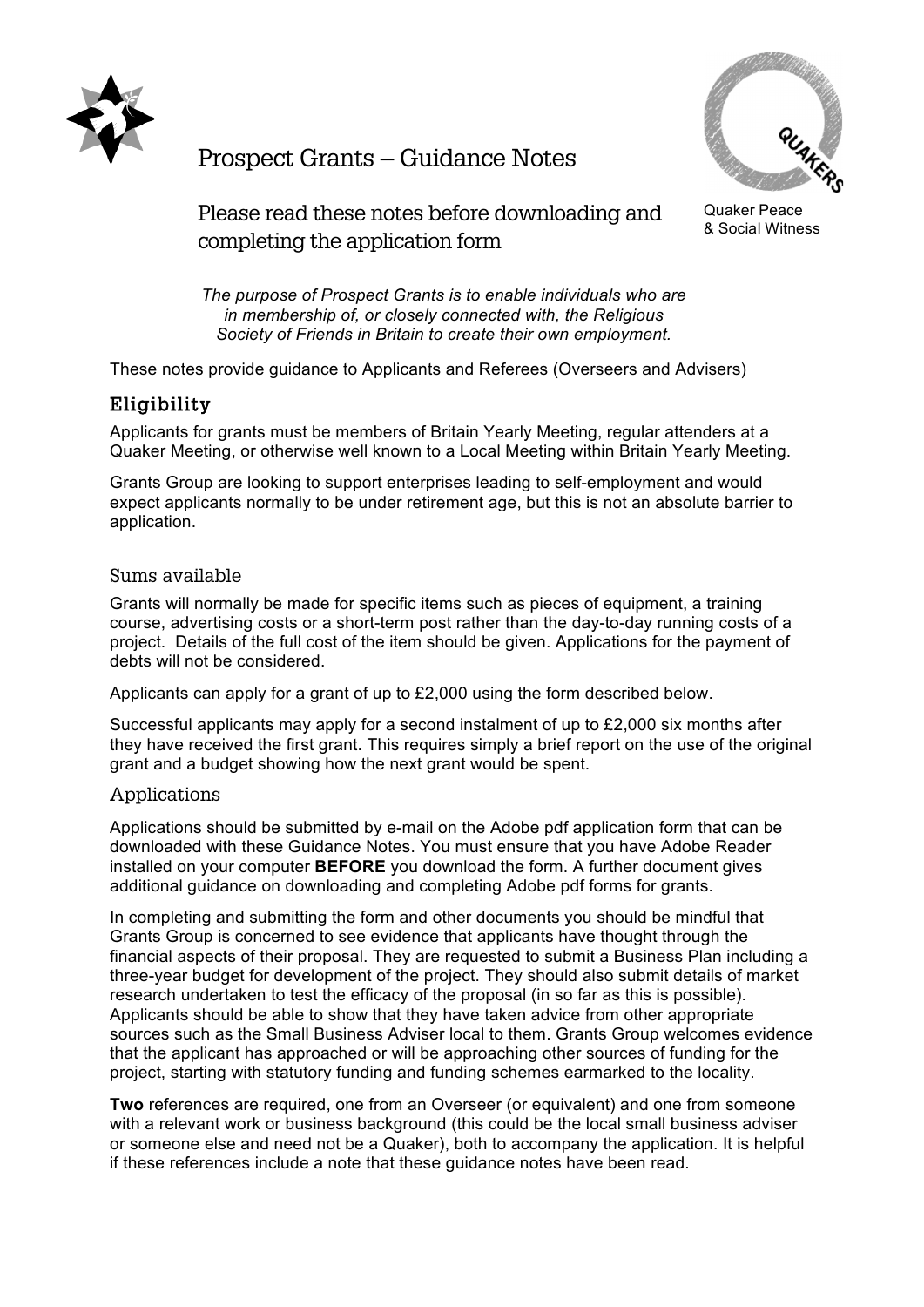



Prospect Grants – Guidance Notes

Quaker Peace & Social Witness

Please read these notes before downloading and completing the application form

*The purpose of Prospect Grants is to enable individuals who are in membership of, or closely connected with, the Religious Society of Friends in Britain to create their own employment.*

These notes provide guidance to Applicants and Referees (Overseers and Advisers)

# Eligibility

Applicants for grants must be members of Britain Yearly Meeting, regular attenders at a Quaker Meeting, or otherwise well known to a Local Meeting within Britain Yearly Meeting.

Grants Group are looking to support enterprises leading to self-employment and would expect applicants normally to be under retirement age, but this is not an absolute barrier to application.

#### Sums available

Grants will normally be made for specific items such as pieces of equipment, a training course, advertising costs or a short-term post rather than the day-to-day running costs of a project. Details of the full cost of the item should be given. Applications for the payment of debts will not be considered.

Applicants can apply for a grant of up to £2,000 using the form described below.

Successful applicants may apply for a second instalment of up to £2,000 six months after they have received the first grant. This requires simply a brief report on the use of the original grant and a budget showing how the next grant would be spent.

#### Applications

Applications should be submitted by e-mail on the Adobe pdf application form that can be downloaded with these Guidance Notes. You must ensure that you have Adobe Reader installed on your computer **BEFORE** you download the form. A further document gives additional guidance on downloading and completing Adobe pdf forms for grants.

In completing and submitting the form and other documents you should be mindful that Grants Group is concerned to see evidence that applicants have thought through the financial aspects of their proposal. They are requested to submit a Business Plan including a three-year budget for development of the project. They should also submit details of market research undertaken to test the efficacy of the proposal (in so far as this is possible). Applicants should be able to show that they have taken advice from other appropriate sources such as the Small Business Adviser local to them. Grants Group welcomes evidence that the applicant has approached or will be approaching other sources of funding for the project, starting with statutory funding and funding schemes earmarked to the locality.

**Two** references are required, one from an Overseer (or equivalent) and one from someone with a relevant work or business background (this could be the local small business adviser or someone else and need not be a Quaker), both to accompany the application. It is helpful if these references include a note that these guidance notes have been read.